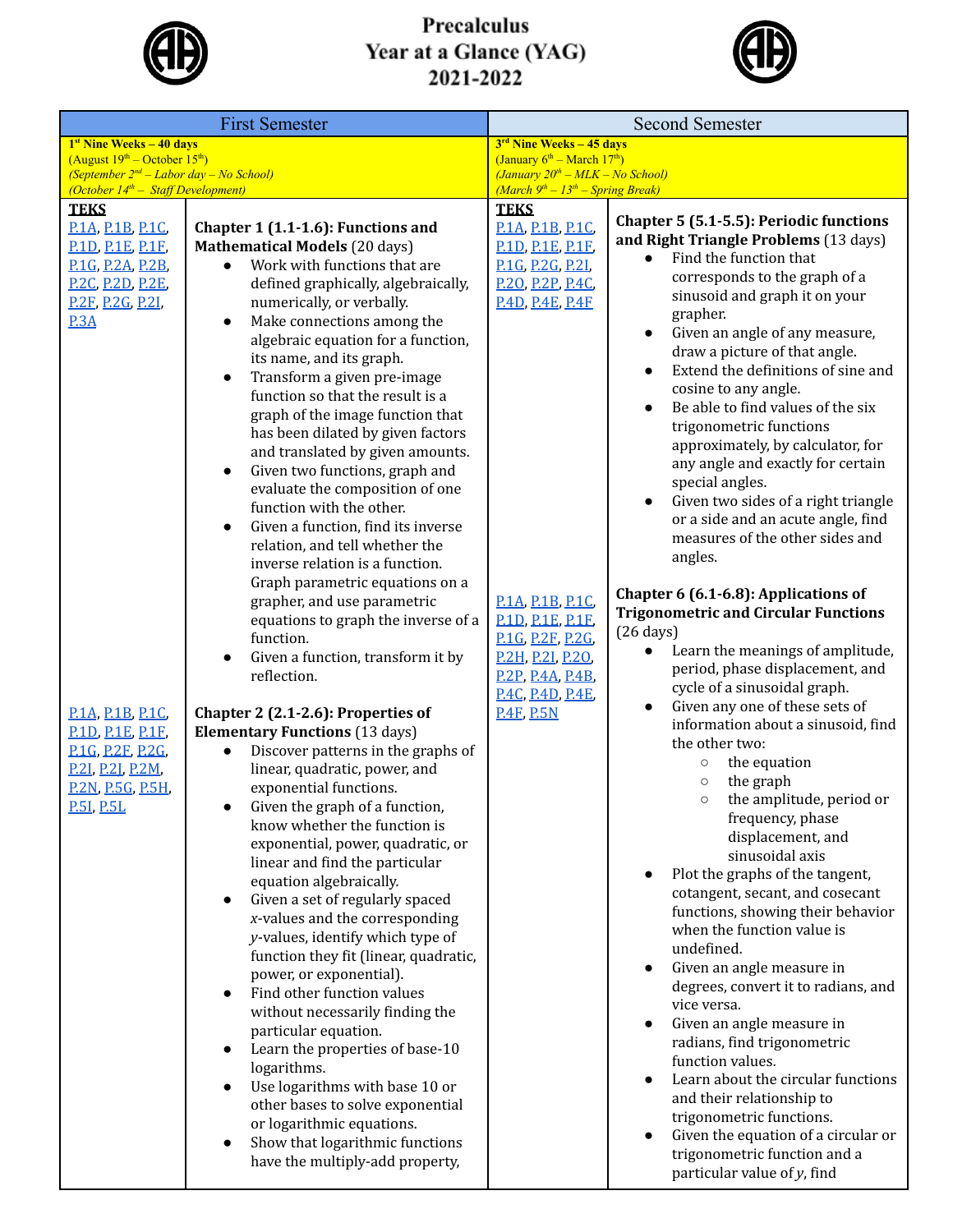

## Precalculus<br>Year at a Glance (YAG)<br>2021-2022



| <b>First Semester</b>                                                                                                                           |                                                                                                                                                                                                                                                                                                                                                                                                                                                                                                                                                                                                                                                                                                                                                                                                                                                                                                        | <b>Second Semester</b>                                                                                                                                                                                 |                                                                                                                                                                                                                                                                                                                                                                                                                                                                                                                                                                                                                                                                                                                                                                                                                                                                                                                 |  |
|-------------------------------------------------------------------------------------------------------------------------------------------------|--------------------------------------------------------------------------------------------------------------------------------------------------------------------------------------------------------------------------------------------------------------------------------------------------------------------------------------------------------------------------------------------------------------------------------------------------------------------------------------------------------------------------------------------------------------------------------------------------------------------------------------------------------------------------------------------------------------------------------------------------------------------------------------------------------------------------------------------------------------------------------------------------------|--------------------------------------------------------------------------------------------------------------------------------------------------------------------------------------------------------|-----------------------------------------------------------------------------------------------------------------------------------------------------------------------------------------------------------------------------------------------------------------------------------------------------------------------------------------------------------------------------------------------------------------------------------------------------------------------------------------------------------------------------------------------------------------------------------------------------------------------------------------------------------------------------------------------------------------------------------------------------------------------------------------------------------------------------------------------------------------------------------------------------------------|--|
| $1st$ Nine Weeks $-40$ days<br>$(August 19th – October 15th)$                                                                                   |                                                                                                                                                                                                                                                                                                                                                                                                                                                                                                                                                                                                                                                                                                                                                                                                                                                                                                        | 3 <sup>rd</sup> Nine Weeks - 45 days<br>(January $6^{th}$ – March $17^{th}$ )                                                                                                                          |                                                                                                                                                                                                                                                                                                                                                                                                                                                                                                                                                                                                                                                                                                                                                                                                                                                                                                                 |  |
| (September $2^{nd}$ – Labor day – No School)<br>(October $14^{th}$ – Staff Development)                                                         |                                                                                                                                                                                                                                                                                                                                                                                                                                                                                                                                                                                                                                                                                                                                                                                                                                                                                                        | $(January 20th - MLK - No School)$<br>$(March 9th - 13th - Spring Break)$                                                                                                                              |                                                                                                                                                                                                                                                                                                                                                                                                                                                                                                                                                                                                                                                                                                                                                                                                                                                                                                                 |  |
| <b>TEKS</b>                                                                                                                                     |                                                                                                                                                                                                                                                                                                                                                                                                                                                                                                                                                                                                                                                                                                                                                                                                                                                                                                        | <b>TEKS</b>                                                                                                                                                                                            | Chapter 5 (5.1-5.5): Periodic functions                                                                                                                                                                                                                                                                                                                                                                                                                                                                                                                                                                                                                                                                                                                                                                                                                                                                         |  |
| P.1A, P.1B, P.1C,<br><b>P.1D, P.1E, P.1E,</b><br>P.1G, P.2A, P.2B,<br><b>P.2C, P.2D, P.2E,</b><br><u>P.2F, P.2G, P.2I, </u><br>P.3A             | Chapter 1 (1.1-1.6): Functions and<br><b>Mathematical Models (20 days)</b><br>Work with functions that are<br>$\bullet$<br>defined graphically, algebraically,<br>numerically, or verbally.<br>Make connections among the<br>$\bullet$<br>algebraic equation for a function,<br>its name, and its graph.<br>Transform a given pre-image<br>$\bullet$<br>function so that the result is a<br>graph of the image function that<br>has been dilated by given factors<br>and translated by given amounts.<br>Given two functions, graph and<br>$\bullet$<br>evaluate the composition of one<br>function with the other.<br>Given a function, find its inverse<br>$\bullet$<br>relation, and tell whether the<br>inverse relation is a function.<br>Graph parametric equations on a<br>grapher, and use parametric<br>equations to graph the inverse of a<br>function.<br>Given a function, transform it by | <b>P.1A, P.1B, P.1C,</b><br><b>P.1D, P.1E, P.1E,</b><br>P.1G, P.2G, P.2L,<br>P.20, P.2P, P.4C,<br><b>P.4D, P.4E, P.4E</b><br>P.1A, P.1B, P.1C,<br><b>P.1D, P.1E, P.1E,</b><br><b>P.1G, P.2F, P.2G,</b> | and Right Triangle Problems (13 days)<br>Find the function that<br>corresponds to the graph of a<br>sinusoid and graph it on your<br>grapher.<br>Given an angle of any measure,<br>$\bullet$<br>draw a picture of that angle.<br>Extend the definitions of sine and<br>$\bullet$<br>cosine to any angle.<br>Be able to find values of the six<br>$\bullet$<br>trigonometric functions<br>approximately, by calculator, for<br>any angle and exactly for certain<br>special angles.<br>Given two sides of a right triangle<br>$\bullet$<br>or a side and an acute angle, find<br>measures of the other sides and<br>angles.<br>Chapter 6 (6.1-6.8): Applications of<br><b>Trigonometric and Circular Functions</b><br>$(26 \text{ days})$<br>Learn the meanings of amplitude,                                                                                                                                    |  |
| <b>P.1A, P.1B, P.1C,</b><br><b>P.1D, P.1E, P.1E,</b><br>P.1G, P.2E, P.2G,<br>P.2I, P.2I, P.2M,<br><b>P.2N, P.5G, P.5H,</b><br><b>P.51, P.5L</b> | reflection.<br>Chapter 2 (2.1-2.6): Properties of<br><b>Elementary Functions (13 days)</b><br>Discover patterns in the graphs of<br>$\bullet$<br>linear, quadratic, power, and<br>exponential functions.<br>Given the graph of a function,<br>know whether the function is<br>exponential, power, quadratic, or<br>linear and find the particular<br>equation algebraically.<br>Given a set of regularly spaced<br>x-values and the corresponding<br>y-values, identify which type of<br>function they fit (linear, quadratic,<br>power, or exponential).<br>Find other function values<br>without necessarily finding the<br>particular equation.<br>Learn the properties of base-10<br>logarithms.<br>Use logarithms with base 10 or<br>other bases to solve exponential<br>or logarithmic equations.<br>Show that logarithmic functions<br>have the multiply-add property,                          | <b>P.2H, P.2I, P.2O.</b><br><b>P.2P. P.4A, P.4B.</b><br>P.4C, P.4D, P.4E,<br><b>P.4E, P.5N</b>                                                                                                         | period, phase displacement, and<br>cycle of a sinusoidal graph.<br>Given any one of these sets of<br>$\bullet$<br>information about a sinusoid, find<br>the other two:<br>the equation<br>$\circ$<br>the graph<br>$\circ$<br>the amplitude, period or<br>$\circ$<br>frequency, phase<br>displacement, and<br>sinusoidal axis<br>Plot the graphs of the tangent,<br>$\bullet$<br>cotangent, secant, and cosecant<br>functions, showing their behavior<br>when the function value is<br>undefined.<br>Given an angle measure in<br>$\bullet$<br>degrees, convert it to radians, and<br>vice versa.<br>Given an angle measure in<br>$\bullet$<br>radians, find trigonometric<br>function values.<br>Learn about the circular functions<br>$\bullet$<br>and their relationship to<br>trigonometric functions.<br>Given the equation of a circular or<br>trigonometric function and a<br>particular value of y, find |  |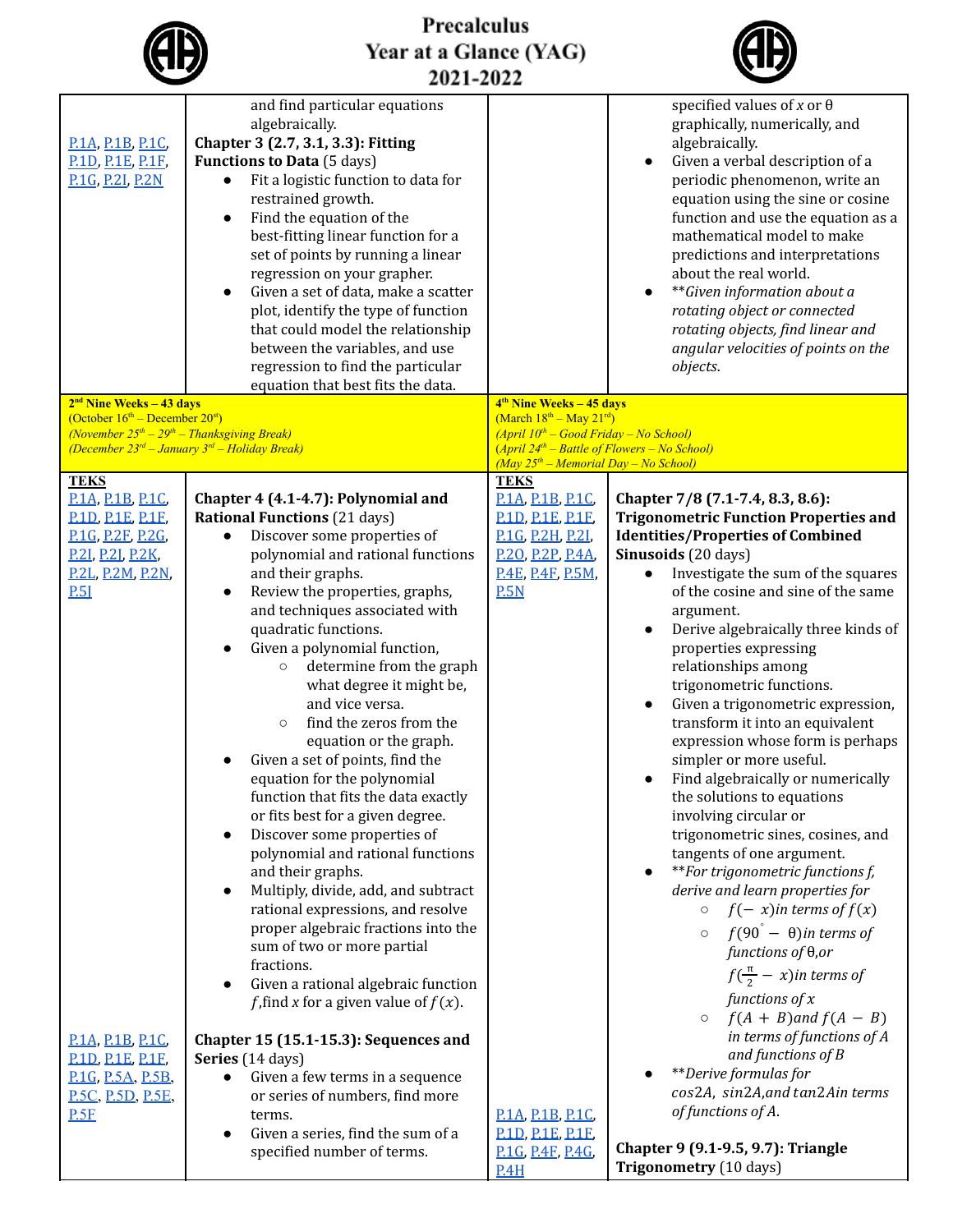|                                                                                                                                                                            | Precalculus<br>Year at a Glance (YAG)                                                                                                                                                                                                                                                                                                                                                                                                                                                                                                                                                                                                                                                                                                                                                                                                                                                                                                                                                                           |                                                                                                                                            |                                                                                                                                                                                                                                                                                                                                                                                                                                                                                                                                                                                                                                                                                                                                                                                                                                                                                                               |  |  |  |  |
|----------------------------------------------------------------------------------------------------------------------------------------------------------------------------|-----------------------------------------------------------------------------------------------------------------------------------------------------------------------------------------------------------------------------------------------------------------------------------------------------------------------------------------------------------------------------------------------------------------------------------------------------------------------------------------------------------------------------------------------------------------------------------------------------------------------------------------------------------------------------------------------------------------------------------------------------------------------------------------------------------------------------------------------------------------------------------------------------------------------------------------------------------------------------------------------------------------|--------------------------------------------------------------------------------------------------------------------------------------------|---------------------------------------------------------------------------------------------------------------------------------------------------------------------------------------------------------------------------------------------------------------------------------------------------------------------------------------------------------------------------------------------------------------------------------------------------------------------------------------------------------------------------------------------------------------------------------------------------------------------------------------------------------------------------------------------------------------------------------------------------------------------------------------------------------------------------------------------------------------------------------------------------------------|--|--|--|--|
| 2021-2022                                                                                                                                                                  |                                                                                                                                                                                                                                                                                                                                                                                                                                                                                                                                                                                                                                                                                                                                                                                                                                                                                                                                                                                                                 |                                                                                                                                            |                                                                                                                                                                                                                                                                                                                                                                                                                                                                                                                                                                                                                                                                                                                                                                                                                                                                                                               |  |  |  |  |
| P.1A, P.1B, P.1C,<br>P.1D, P.1E, P.1F,<br>P.1G, P.2I, P.2N                                                                                                                 | and find particular equations<br>algebraically.<br>Chapter 3 (2.7, 3.1, 3.3): Fitting<br><b>Functions to Data</b> (5 days)<br>Fit a logistic function to data for<br>restrained growth.<br>Find the equation of the<br>$\bullet$<br>best-fitting linear function for a<br>set of points by running a linear<br>regression on your grapher.<br>Given a set of data, make a scatter<br>$\bullet$<br>plot, identify the type of function<br>that could model the relationship<br>between the variables, and use<br>regression to find the particular<br>equation that best fits the data.                                                                                                                                                                                                                                                                                                                                                                                                                          |                                                                                                                                            | specified values of x or $\theta$<br>graphically, numerically, and<br>algebraically.<br>Given a verbal description of a<br>periodic phenomenon, write an<br>equation using the sine or cosine<br>function and use the equation as a<br>mathematical model to make<br>predictions and interpretations<br>about the real world.<br>**Given information about a<br>rotating object or connected<br>rotating objects, find linear and<br>angular velocities of points on the<br>objects.                                                                                                                                                                                                                                                                                                                                                                                                                          |  |  |  |  |
| $2nd$ Nine Weeks – 43 days<br>(October $16th$ – December $20st$ )                                                                                                          |                                                                                                                                                                                                                                                                                                                                                                                                                                                                                                                                                                                                                                                                                                                                                                                                                                                                                                                                                                                                                 | 4 <sup>th</sup> Nine Weeks - 45 days<br>$(March 18th - May 21rd)$                                                                          |                                                                                                                                                                                                                                                                                                                                                                                                                                                                                                                                                                                                                                                                                                                                                                                                                                                                                                               |  |  |  |  |
| (November $25^{th} - 29^{th} -$ Thanksgiving Break)                                                                                                                        | (December $23^{rd}$ - January $3^{rd}$ - Holiday Break)                                                                                                                                                                                                                                                                                                                                                                                                                                                                                                                                                                                                                                                                                                                                                                                                                                                                                                                                                         | $(April 10th - Good Friday - No School)$<br>$(April 24th - Battle of Flowers - No School)$                                                 |                                                                                                                                                                                                                                                                                                                                                                                                                                                                                                                                                                                                                                                                                                                                                                                                                                                                                                               |  |  |  |  |
|                                                                                                                                                                            |                                                                                                                                                                                                                                                                                                                                                                                                                                                                                                                                                                                                                                                                                                                                                                                                                                                                                                                                                                                                                 | $(May 25th - Memorial Day - No School)$                                                                                                    |                                                                                                                                                                                                                                                                                                                                                                                                                                                                                                                                                                                                                                                                                                                                                                                                                                                                                                               |  |  |  |  |
| <b>TEKS</b><br><b>P.1A, P.1B, P.1C,</b><br><b>P.1D, P.1E, P.1F,</b><br><b>P.1G, P.2E, P.2G,</b><br><b>P.21, P.21, P.2K,</b><br><b>P.2L, P.2M, P.2N,</b><br>P <sub>51</sub> | Chapter 4 (4.1-4.7): Polynomial and<br><b>Rational Functions (21 days)</b><br>Discover some properties of<br>polynomial and rational functions<br>and their graphs.<br>Review the properties, graphs,<br>$\bullet$<br>and techniques associated with<br>quadratic functions.<br>Given a polynomial function,<br>determine from the graph<br>$\circ$<br>what degree it might be,<br>and vice versa.<br>find the zeros from the<br>$\circ$<br>equation or the graph.<br>Given a set of points, find the<br>equation for the polynomial<br>function that fits the data exactly<br>or fits best for a given degree.<br>Discover some properties of<br>$\bullet$<br>polynomial and rational functions<br>and their graphs.<br>Multiply, divide, add, and subtract<br>$\bullet$<br>rational expressions, and resolve<br>proper algebraic fractions into the<br>sum of two or more partial<br>fractions.<br>Given a rational algebraic function<br>$\bullet$<br><i>f</i> , find <i>x</i> for a given value of $f(x)$ . | <b>TEKS</b><br>P.1A, P.1B, P.1C,<br><b>P.1D, P.1E, P.1E,</b><br>P.1G, P.2H, P.2I,<br>P.20, P.2P, P.4A,<br><b>P.4E, P.4E, P.5M,</b><br>P.5N | Chapter 7/8 (7.1-7.4, 8.3, 8.6):<br><b>Trigonometric Function Properties and</b><br><b>Identities/Properties of Combined</b><br>Sinusoids (20 days)<br>Investigate the sum of the squares<br>of the cosine and sine of the same<br>argument.<br>Derive algebraically three kinds of<br>properties expressing<br>relationships among<br>trigonometric functions.<br>Given a trigonometric expression,<br>transform it into an equivalent<br>expression whose form is perhaps<br>simpler or more useful.<br>Find algebraically or numerically<br>the solutions to equations<br>involving circular or<br>trigonometric sines, cosines, and<br>tangents of one argument.<br>**For trigonometric functions f,<br>derive and learn properties for<br>$f(-x)$ in terms of $f(x)$<br>$\circ$<br>$\circ$ $f(90^{\degree} - \theta)$ in terms of<br>$functions of \theta,orf(\frac{\pi}{2}-x)in terms offunctions of x$ |  |  |  |  |
| <b>P.1A, P.1B, P.1C,</b><br><b>P.1D, P.1E, P.1E,</b><br>P.1G, P.5A, P.5B,<br><b>P.5C, P.5D, P.5E,</b><br>PSE                                                               | Chapter 15 (15.1-15.3): Sequences and<br>Series (14 days)<br>Given a few terms in a sequence<br>or series of numbers, find more<br>terms.<br>Given a series, find the sum of a<br>specified number of terms.                                                                                                                                                                                                                                                                                                                                                                                                                                                                                                                                                                                                                                                                                                                                                                                                    | P.1A, P.1B, P.1C,<br><b>P.1D, P.1E, P.1E,</b><br>P.1G, P.4F, P.4G,<br>P.4H                                                                 | $\circ$ $f(A + B)$ and $f(A - B)$<br>in terms of functions of A<br>and functions of B<br>**Derive formulas for<br>cos2A, sin2A, and tan2Ain terms<br>of functions of A.<br>Chapter 9 (9.1-9.5, 9.7): Triangle<br>Trigonometry (10 days)                                                                                                                                                                                                                                                                                                                                                                                                                                                                                                                                                                                                                                                                       |  |  |  |  |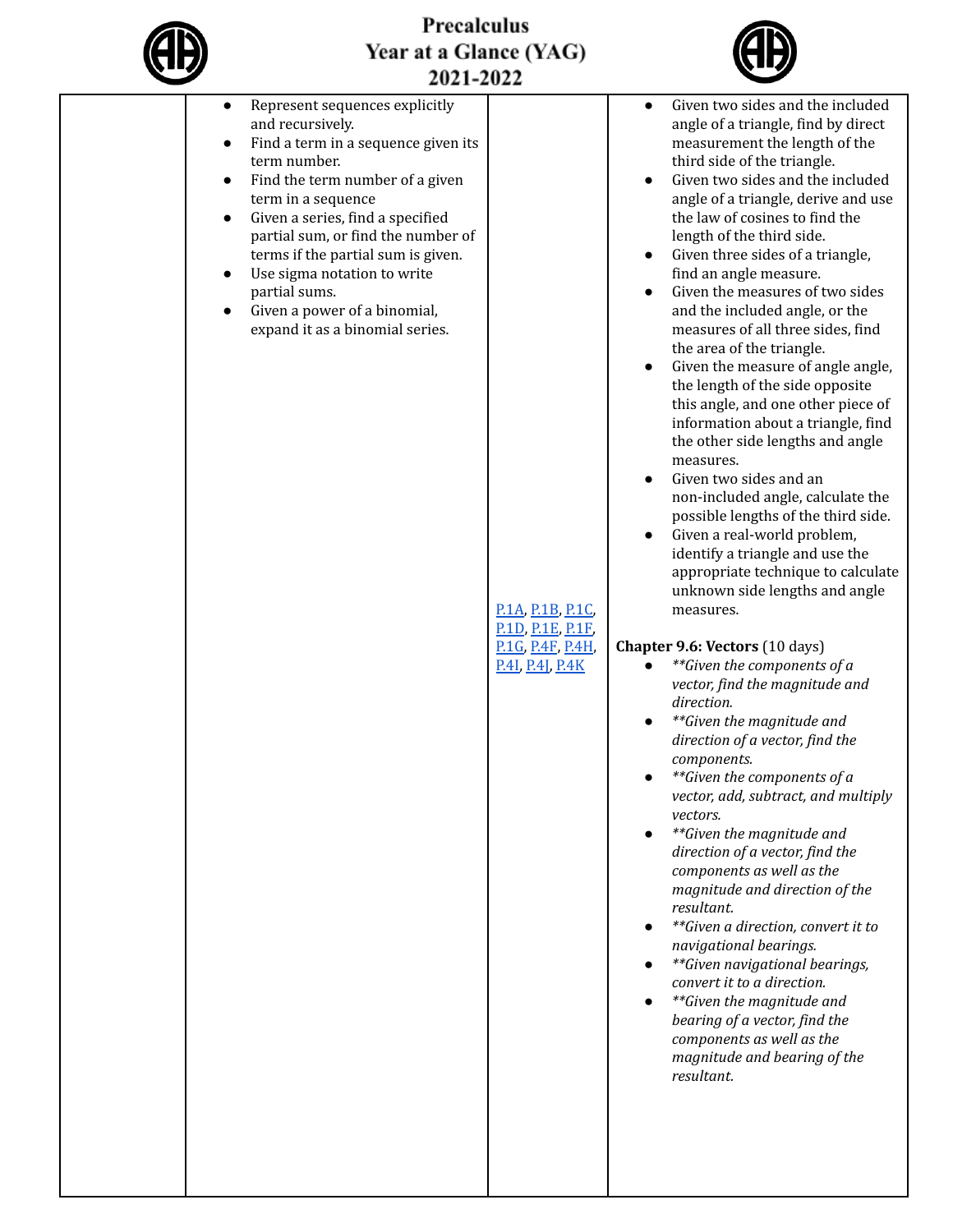

## Precalculus Year at a Glance (YAG)



| Given two sides and the included<br>Represent sequences explicitly<br>$\bullet$<br>and recursively.<br>angle of a triangle, find by direct<br>Find a term in a sequence given its<br>measurement the length of the<br>$\bullet$<br>term number.<br>third side of the triangle.<br>Given two sides and the included<br>Find the term number of a given<br>$\bullet$<br>angle of a triangle, derive and use<br>term in a sequence<br>Given a series, find a specified<br>the law of cosines to find the<br>$\bullet$<br>partial sum, or find the number of<br>length of the third side.<br>terms if the partial sum is given.<br>Given three sides of a triangle,<br>Use sigma notation to write<br>find an angle measure.<br>$\bullet$<br>Given the measures of two sides<br>partial sums.<br>Given a power of a binomial,<br>and the included angle, or the<br>$\bullet$<br>expand it as a binomial series.<br>measures of all three sides, find<br>the area of the triangle.<br>Given the measure of angle angle,<br>the length of the side opposite<br>this angle, and one other piece of<br>information about a triangle, find<br>the other side lengths and angle<br>measures.<br>Given two sides and an<br>non-included angle, calculate the<br>possible lengths of the third side.<br>Given a real-world problem,<br>identify a triangle and use the<br>appropriate technique to calculate<br>unknown side lengths and angle<br>P.1A, P.1B, P.1C,<br>measures.<br><b>P.1D, P.1E, P.1F.</b><br>Chapter 9.6: Vectors (10 days)<br>P.1G, P.4F, P.4H,<br>**Given the components of a<br>P.41, P.41, P.4K<br>vector, find the magnitude and<br>direction.<br>**Given the magnitude and<br>direction of a vector, find the<br>components.<br>**Given the components of a<br>vector, add, subtract, and multiply<br>vectors.<br>**Given the magnitude and<br>direction of a vector, find the<br>components as well as the<br>magnitude and direction of the<br>resultant.<br>**Given a direction, convert it to<br>navigational bearings.<br>**Given navigational bearings,<br>convert it to a direction.<br>**Given the magnitude and<br>bearing of a vector, find the<br>components as well as the<br>magnitude and bearing of the<br>resultant. | 2021-2022 |  |
|---------------------------------------------------------------------------------------------------------------------------------------------------------------------------------------------------------------------------------------------------------------------------------------------------------------------------------------------------------------------------------------------------------------------------------------------------------------------------------------------------------------------------------------------------------------------------------------------------------------------------------------------------------------------------------------------------------------------------------------------------------------------------------------------------------------------------------------------------------------------------------------------------------------------------------------------------------------------------------------------------------------------------------------------------------------------------------------------------------------------------------------------------------------------------------------------------------------------------------------------------------------------------------------------------------------------------------------------------------------------------------------------------------------------------------------------------------------------------------------------------------------------------------------------------------------------------------------------------------------------------------------------------------------------------------------------------------------------------------------------------------------------------------------------------------------------------------------------------------------------------------------------------------------------------------------------------------------------------------------------------------------------------------------------------------------------------------------------------------------------------------------------------------------------------------------------------------------------------------------------------|-----------|--|
|                                                                                                                                                                                                                                                                                                                                                                                                                                                                                                                                                                                                                                                                                                                                                                                                                                                                                                                                                                                                                                                                                                                                                                                                                                                                                                                                                                                                                                                                                                                                                                                                                                                                                                                                                                                                                                                                                                                                                                                                                                                                                                                                                                                                                                                   |           |  |